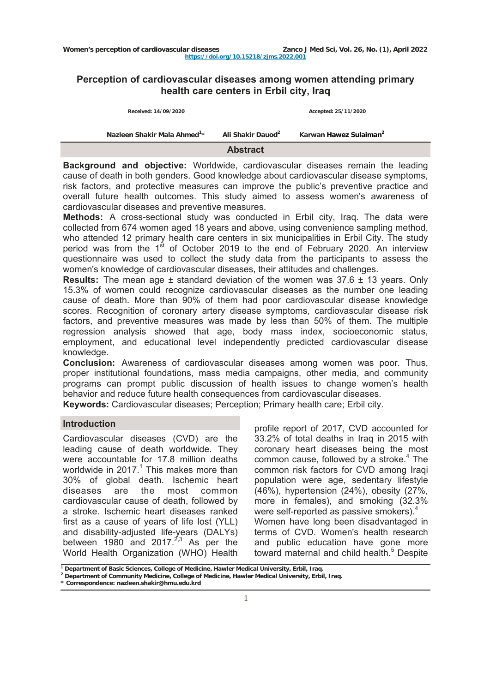# **Perception of cardiovascular diseases among women attending primary health care centers in Erbil city, Iraq**

| Ali Shakir Dauod <sup>2</sup><br>Nazleen Shakir Mala Ahmed <sup>1</sup> *<br>Karwan Hawez Sulaiman <sup>2</sup> |  |
|-----------------------------------------------------------------------------------------------------------------|--|
| Received: 14/09/2020<br>Accepted: 25/11/2020                                                                    |  |

**Background and objective:** Worldwide, cardiovascular diseases remain the leading cause of death in both genders. Good knowledge about cardiovascular disease symptoms, risk factors, and protective measures can improve the public's preventive practice and overall future health outcomes. This study aimed to assess women's awareness of cardiovascular diseases and preventive measures.

**Methods:** A cross-sectional study was conducted in Erbil city, Iraq. The data were collected from 674 women aged 18 years and above, using convenience sampling method, who attended 12 primary health care centers in six municipalities in Erbil City. The study period was from the  $1<sup>st</sup>$  of October 2019 to the end of February 2020. An interview questionnaire was used to collect the study data from the participants to assess the women's knowledge of cardiovascular diseases, their attitudes and challenges.

**Results:** The mean age ± standard deviation of the women was 37.6 ± 13 years. Only 15.3% of women could recognize cardiovascular diseases as the number one leading cause of death. More than 90% of them had poor cardiovascular disease knowledge scores. Recognition of coronary artery disease symptoms, cardiovascular disease risk factors, and preventive measures was made by less than 50% of them. The multiple regression analysis showed that age, body mass index, socioeconomic status, employment, and educational level independently predicted cardiovascular disease knowledge.

**Conclusion:** Awareness of cardiovascular diseases among women was poor. Thus, proper institutional foundations, mass media campaigns, other media, and community programs can prompt public discussion of health issues to change women's health behavior and reduce future health consequences from cardiovascular diseases.

**Keywords:** Cardiovascular diseases; Perception; Primary health care; Erbil city.

### **Introduction**

Cardiovascular diseases (CVD) are the leading cause of death worldwide. They were accountable for 17.8 million deaths worldwide in 2017. $1$  This makes more than 30% of global death. Ischemic heart diseases are the most common cardiovascular cause of death, followed by a stroke. Ischemic heart diseases ranked first as a cause of years of life lost (YLL) and disability-adjusted life-years (DALYs) between 1980 and 2017. $2,3$  As per the World Health Organization (WHO) Health

profile report of 2017, CVD accounted for 33.2% of total deaths in Iraq in 2015 with coronary heart diseases being the most common cause, followed by a stroke.<sup>4</sup> The common risk factors for CVD among Iraqi population were age, sedentary lifestyle (46%), hypertension (24%), obesity (27%, more in females), and smoking (32.3% were self-reported as passive smokers).<sup>4</sup> Ì. Women have long been disadvantaged in terms of CVD. Women's health research and public education have gone more toward maternal and child health.<sup>5</sup> Despite

**<sup>1</sup>**<br> **1** Department of Basic Sciences, College of Medicine, Hawler Medical University, Erbil, Iraq.<br>
<sup>2</sup> Department of Community Medicine, College of Medicine, Hawler Medical University, Erbil,

**Department of Community Medicine, College of Medicine, Hawler Medical University, Erbil, Iraq.**

**<sup>\*</sup> Correspondence: [nazleen.shakir@hmu.edu.kr](mailto:nazleen.shakir@hmu.edu.krd)d**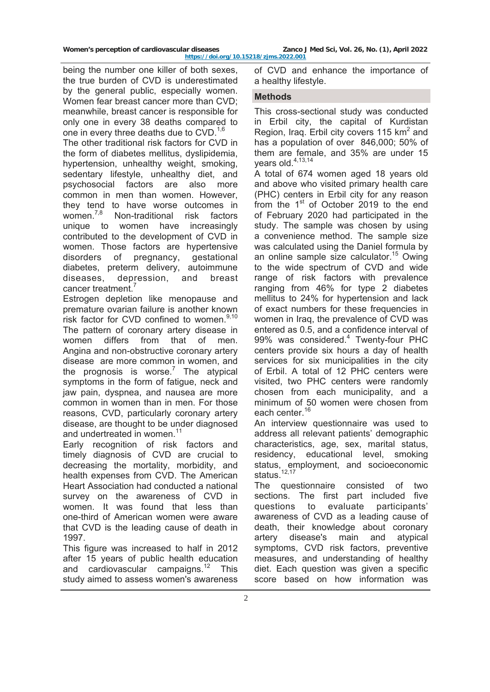being the number one killer of both sexes, the true burden of CVD is underestimated by the general public, especially women. Women fear breast cancer more than CVD; meanwhile, breast cancer is responsible for only one in every 38 deaths compared to one in every three deaths due to  $CVD$ .<sup>1,6</sup>

The other traditional risk factors for CVD in the form of diabetes mellitus, dyslipidemia, hypertension, unhealthy weight, smoking, sedentary lifestyle, unhealthy diet, and psychosocial factors are also more common in men than women. However, they tend to have worse outcomes in women.<sup>7,8</sup> Non-traditional risk factors Non-traditional risk factors unique to women have increasingly contributed to the development of CVD in women. Those factors are hypertensive disorders of pregnancy, gestational diabetes, preterm delivery, autoimmune diseases, depression, and breast cancer treatment.

Estrogen depletion like menopause and premature ovarian failure is another known risk factor for CVD confined to women.<sup>9,10</sup> The pattern of coronary artery disease in women differs from that of men. Angina and non-obstructive coronary artery disease are more common in women, and the prognosis is worse.<sup>7</sup> The atypical symptoms in the form of fatigue, neck and jaw pain, dyspnea, and nausea are more common in women than in men. For those reasons, CVD, particularly coronary artery disease, are thought to be under diagnosed and undertreated in women.<sup>11</sup>

Early recognition of risk factors and timely diagnosis of CVD are crucial to decreasing the mortality, morbidity, and health expenses from CVD. The American Heart Association had conducted a national survey on the awareness of CVD in women. It was found that less than one-third of American women were aware that CVD is the leading cause of death in 1997.

This figure was increased to half in 2012 after 15 years of public health education and cardiovascular campaigns.<sup>12</sup> This study aimed to assess women's awareness

of CVD and enhance the importance of a healthy lifestyle.

## **Methods**

This cross-sectional study was conducted in Erbil city, the capital of Kurdistan Region, Iraq. Erbil city covers 115 km<sup>2</sup> and has a population of over 846,000; 50% of them are female, and 35% are under 15 years old.<sup>4,13,14</sup>

A total of 674 women aged 18 years old and above who visited primary health care (PHC) centers in Erbil city for any reason from the  $1<sup>st</sup>$  of October 2019 to the end of February 2020 had participated in the study. The sample was chosen by using a convenience method. The sample size was calculated using the Daniel formula by an online sample size calculator.<sup>15</sup> Owing to the wide spectrum of CVD and wide range of risk factors with prevalence ranging from 46% for type 2 diabetes mellitus to 24% for hypertension and lack of exact numbers for these frequencies in women in Iraq, the prevalence of CVD was entered as 0.5, and a confidence interval of 99% was considered.<sup>4</sup> Twenty-four PHC centers provide six hours a day of health services for six municipalities in the city of Erbil. A total of 12 PHC centers were visited, two PHC centers were randomly chosen from each municipality, and a minimum of 50 women were chosen from each center.<sup>16</sup>

An interview questionnaire was used to address all relevant patients' demographic characteristics, age, sex, marital status, residency, educational level, smoking status, employment, and socioeconomic status.<sup>12,17</sup>

The questionnaire consisted of two sections. The first part included five questions to evaluate participants' awareness of CVD as a leading cause of death, their knowledge about coronary artery disease's main and atypical symptoms, CVD risk factors, preventive measures, and understanding of healthy diet. Each question was given a specific score based on how information was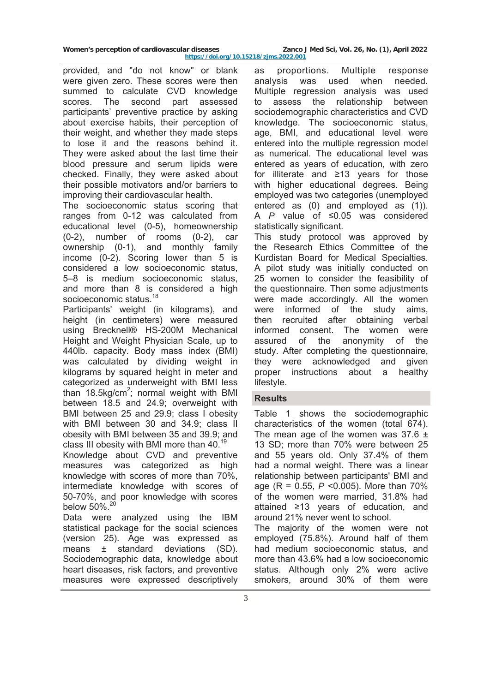**<https://doi.org/10.15218/zjms.2022.001>**

provided, and "do not know" or blank were given zero. These scores were then summed to calculate CVD knowledge scores. The second part assessed participants' preventive practice by asking about exercise habits, their perception of their weight, and whether they made steps to lose it and the reasons behind it. They were asked about the last time their blood pressure and serum lipids were checked. Finally, they were asked about their possible motivators and/or barriers to improving their cardiovascular health.

The socioeconomic status scoring that ranges from 0-12 was calculated from educational level (0-5), homeownership (0-2), number of rooms (0-2), car ownership (0-1), and monthly family income (0-2). Scoring lower than 5 is considered a low socioeconomic status, 5–8 is medium socioeconomic status, and more than 8 is considered a high socioeconomic status.<sup>18</sup>

Participants' weight (in kilograms), and height (in centimeters) were measured using Brecknell® HS-200M Mechanical Height and Weight Physician Scale, up to 440lb. capacity. Body mass index (BMI) was calculated by dividing weight in kilograms by squared height in meter and categorized as underweight with BMI less than  $18.5\text{kg/cm}^2$ ; normal weight with BMI between 18.5 and 24.9; overweight with BMI between 25 and 29.9; class I obesity with BMI between 30 and 34.9; class II obesity with BMI between 35 and 39.9; and class III obesity with BMI more than 40.<sup>19</sup>

Knowledge about CVD and preventive measures was categorized as high knowledge with scores of more than 70%, intermediate knowledge with scores of 50-70%, and poor knowledge with scores below 50%.<sup>20</sup>

Data were analyzed using the IBM statistical package for the social sciences (version 25). Age was expressed as means ± standard deviations (SD). Sociodemographic data, knowledge about heart diseases, risk factors, and preventive measures were expressed descriptively as proportions. Multiple response analysis was used when needed. Multiple regression analysis was used to assess the relationship between sociodemographic characteristics and CVD knowledge. The socioeconomic status, age, BMI, and educational level were entered into the multiple regression model as numerical. The educational level was entered as years of education, with zero for illiterate and ≥13 years for those with higher educational degrees. Being employed was two categories (unemployed entered as (0) and employed as (1)). A *P* value of ≤0.05 was considered statistically significant.

This study protocol was approved by the Research Ethics Committee of the Kurdistan Board for Medical Specialties. A pilot study was initially conducted on 25 women to consider the feasibility of the questionnaire. Then some adjustments were made accordingly. All the women were informed of the study aims, then recruited after obtaining verbal informed consent. The women were assured of the anonymity of the study. After completing the questionnaire, they were acknowledged and given proper instructions about a healthy lifestyle.

## **Results**

Table 1 shows the sociodemographic characteristics of the women (total 674). The mean age of the women was  $37.6 \pm 1$ 13 SD; more than 70% were between 25 and 55 years old. Only 37.4% of them had a normal weight. There was a linear relationship between participants' BMI and age (R = 0.55, *P* <0.005). More than 70% of the women were married, 31.8% had attained ≥13 years of education, and around 21% never went to school.

The majority of the women were not employed (75.8%). Around half of them had medium socioeconomic status, and more than 43.6% had a low socioeconomic status. Although only 2% were active smokers, around 30% of them were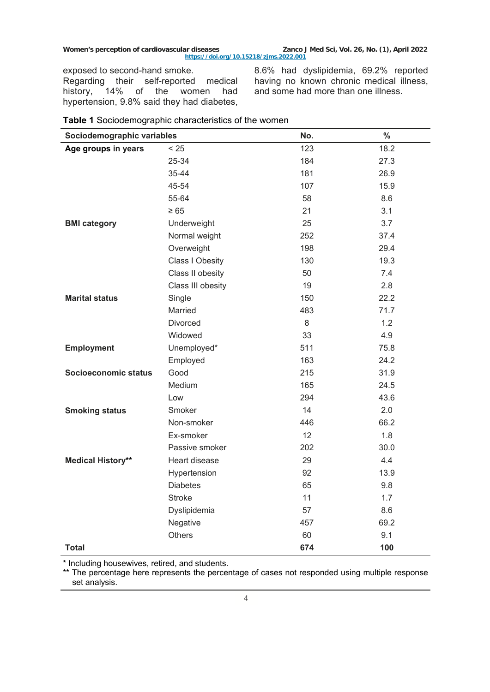exposed to second-hand smoke. Regarding their self-reported medical<br>history, 14% of the women had history, 14% of the women had hypertension, 9.8% said they had diabetes,

8.6% had dyslipidemia, 69.2% reported having no known chronic medical illness, and some had more than one illness.

|  | Table 1 Sociodemographic characteristics of the women |  |  |
|--|-------------------------------------------------------|--|--|
|--|-------------------------------------------------------|--|--|

| Sociodemographic variables |                   | No. | $\%$ |
|----------------------------|-------------------|-----|------|
| Age groups in years        | < 25              | 123 | 18.2 |
|                            | 25-34             | 184 | 27.3 |
|                            | 35-44             | 181 | 26.9 |
|                            | 45-54             | 107 | 15.9 |
|                            | 55-64             | 58  | 8.6  |
|                            | $\geq 65$         | 21  | 3.1  |
| <b>BMI</b> category        | Underweight       | 25  | 3.7  |
|                            | Normal weight     | 252 | 37.4 |
|                            | Overweight        | 198 | 29.4 |
|                            | Class I Obesity   | 130 | 19.3 |
|                            | Class II obesity  | 50  | 7.4  |
|                            | Class III obesity | 19  | 2.8  |
| <b>Marital status</b>      | Single            | 150 | 22.2 |
|                            | Married           | 483 | 71.7 |
|                            | Divorced          | 8   | 1.2  |
|                            | Widowed           | 33  | 4.9  |
| <b>Employment</b>          | Unemployed*       | 511 | 75.8 |
|                            | Employed          | 163 | 24.2 |
| Socioeconomic status       | Good              | 215 | 31.9 |
|                            | Medium            | 165 | 24.5 |
|                            | Low               | 294 | 43.6 |
| <b>Smoking status</b>      | Smoker            | 14  | 2.0  |
|                            | Non-smoker        | 446 | 66.2 |
|                            | Ex-smoker         | 12  | 1.8  |
|                            | Passive smoker    | 202 | 30.0 |
| <b>Medical History**</b>   | Heart disease     | 29  | 4.4  |
|                            | Hypertension      | 92  | 13.9 |
|                            | <b>Diabetes</b>   | 65  | 9.8  |
|                            | <b>Stroke</b>     | 11  | 1.7  |
|                            | Dyslipidemia      | 57  | 8.6  |
|                            | Negative          | 457 | 69.2 |
|                            | Others            | 60  | 9.1  |
| <b>Total</b>               |                   | 674 | 100  |

\* Including housewives, retired, and students.

\*\* The percentage here represents the percentage of cases not responded using multiple response set analysis.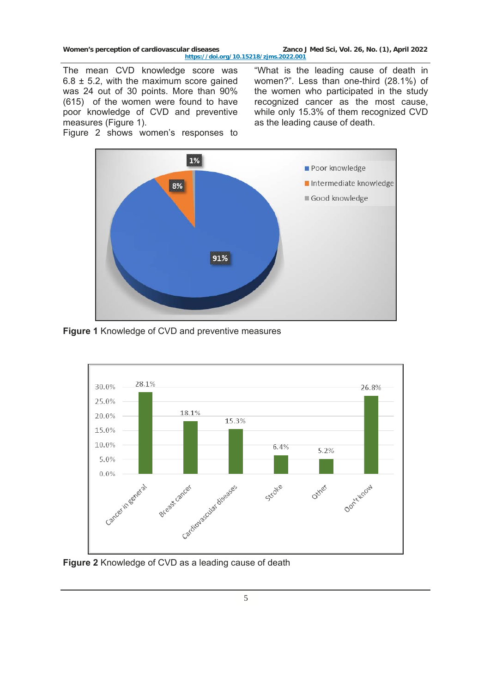Women's perception of cardiovascular diseases **Zanco J Med Sci, Vol. 26, No. (1), April 2022 <https://doi.org/10.15218/zjms.2022.001>**

The mean CVD knowledge score was  $6.8 \pm 5.2$ , with the maximum score gained was 24 out of 30 points. More than 90% (615) of the women were found to have poor knowledge of CVD and preventive measures (Figure 1). The mean CVD knowledge score was "What is the leading cause of death in 6.8  $\pm$  5.2, with the maximum score gained women?". Less than one-third (28.1%) of was 24 out of 30 points. More than 90% the women who participated

Figure 2 shows women's responses to

women?". Less than one-third (28.1%) of the women who participated in the study recognized cancer as the most cause, while only 15.3% of them recognized CVD as the leading cause of death.



**Figure 1** Knowledge of CVD and preventive measures



**Figure 2** Knowledge of CVD as a leading cause of death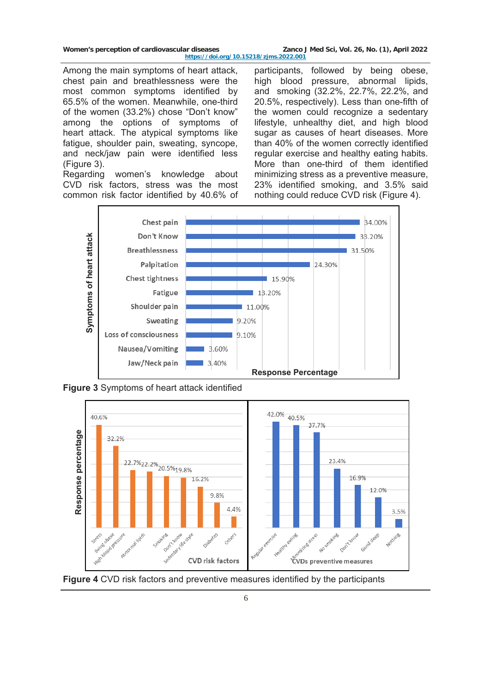Women's perception of cardiovascular diseases **Zanco J Med Sci, Vol. 26, No. (1), April 2022 <https://doi.org/10.15218/zjms.2022.001>**

Among the main symptoms of heart attack, chest pain and breathlessness were the most common symptoms identified by 65.5% of the women. Meanwhile, one-third of the women (33.2%) chose "Don't know" among the options of symptoms of heart attack. The atypical symptoms like fatigue, shoulder pain, sweating, syncope, and neck/jaw pain were identified less (Figure 3).

Regarding women's knowledge about CVD risk factors, stress was the most common risk factor identified by 40.6% of

participants, followed by being obese, high blood pressure, abnormal lipids, and smoking (32.2%, 22.7%, 22.2%, and 20.5%, respectively). Less than one-fifth of the women could recognize a sedentary lifestyle, unhealthy diet, and high blood sugar as causes of heart diseases. More than 40% of the women correctly identified regular exercise and healthy eating habits. More than one-third of them identified minimizing stress as a preventive measure, 23% identified smoking, and 3.5% said nothing could reduce CVD risk (Figure 4).



**Figure 3** Symptoms of heart attack identified



**Figure 4** CVD risk factors and preventive measures identified by the participants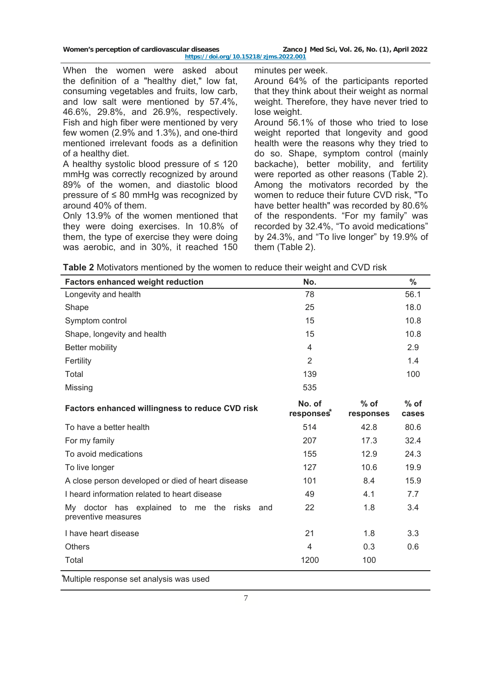| Women's perception of cardiovascular diseases |
|-----------------------------------------------|
|-----------------------------------------------|

Zanco J Med Sci, Vol. 26, No. (1), April 2022 **<https://doi.org/10.15218/zjms.2022.001>**

When the women were asked about the definition of a "healthy diet," low fat, consuming vegetables and fruits, low carb, and low salt were mentioned by 57.4%, 46.6%, 29.8%, and 26.9%, respectively. Fish and high fiber were mentioned by very few women (2.9% and 1.3%), and one-third mentioned irrelevant foods as a definition of a healthy diet.

A healthy systolic blood pressure of  $\leq 120$ mmHg was correctly recognized by around 89% of the women, and diastolic blood pressure of ≤ 80 mmHg was recognized by around 40% of them.

Only 13.9% of the women mentioned that they were doing exercises. In 10.8% of them, the type of exercise they were doing was aerobic, and in 30%, it reached 150 minutes per week. Around 64% of the participants reported that they think about their weight as normal weight. Therefore, they have never tried to lose weight.

Around 56.1% of those who tried to lose weight reported that longevity and good health were the reasons why they tried to do so. Shape, symptom control (mainly backache), better mobility, and fertility were reported as other reasons (Table 2). Among the motivators recorded by the women to reduce their future CVD risk, "To have better health" was recorded by 80.6% of the respondents. "For my family" was recorded by 32.4%, "To avoid medications" by 24.3%, and "To live longer" by 19.9% of them (Table 2).

| <b>Table 2</b> Motivators mentioned by the women to reduce their weight and CVD risk |  |  |  |
|--------------------------------------------------------------------------------------|--|--|--|
|                                                                                      |  |  |  |

| <b>Factors enhanced weight reduction</b>                              | No.                              |                     | $\frac{0}{0}$   |
|-----------------------------------------------------------------------|----------------------------------|---------------------|-----------------|
| Longevity and health                                                  | 78                               |                     | 56.1            |
| Shape                                                                 | 25                               |                     | 18.0            |
| Symptom control                                                       | 15                               |                     | 10.8            |
| Shape, longevity and health                                           | 15                               |                     | 10.8            |
| Better mobility                                                       | 4                                |                     | 2.9             |
| Fertility                                                             | $\overline{2}$                   |                     | 1.4             |
| Total                                                                 | 139                              |                     | 100             |
| Missing                                                               | 535                              |                     |                 |
| <b>Factors enhanced willingness to reduce CVD risk</b>                | No. of<br>responses <sup>*</sup> | $%$ of<br>responses | $%$ of<br>cases |
| To have a better health                                               | 514                              | 42.8                | 80.6            |
| For my family                                                         | 207                              | 17.3                | 32.4            |
| To avoid medications                                                  | 155                              | 12.9                | 24.3            |
| To live longer                                                        | 127                              | 10.6                | 19.9            |
| A close person developed or died of heart disease                     | 101                              | 8.4                 | 15.9            |
| I heard information related to heart disease                          | 49                               | 4.1                 | 7.7             |
| My doctor has explained to me the risks<br>and<br>preventive measures | 22                               | 1.8                 | 3.4             |
| I have heart disease                                                  | 21                               | 1.8                 | 3.3             |
| <b>Others</b>                                                         | 4                                | 0.3                 | 0.6             |
| Total                                                                 | 1200                             | 100                 |                 |

⃰Multiple response set analysis was used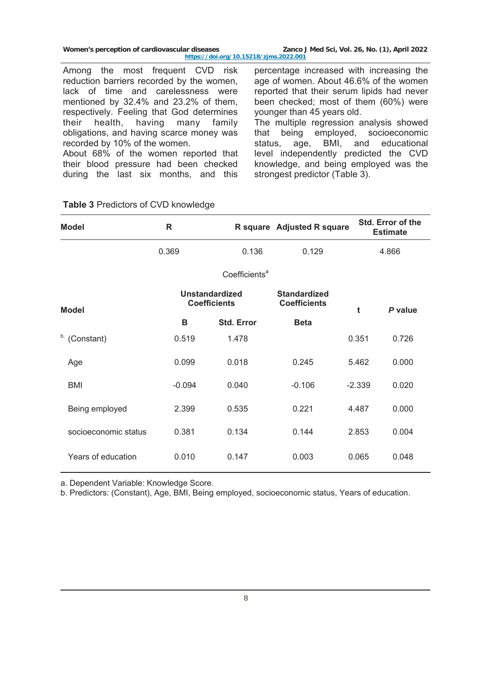| Women's perception of cardiovascular diseases | Zanco J Med Sci, Vol. 26, No. (1), April 2022 |
|-----------------------------------------------|-----------------------------------------------|
| https://doi.org/10.15218/zjms.2022.001        |                                               |

Among the most frequent CVD risk reduction barriers recorded by the women, lack of time and carelessness were mentioned by 32.4% and 23.2% of them, respectively. Feeling that God determines their health, having many family obligations, and having scarce money was recorded by 10% of the women. About 68% of the women reported that their blood pressure had been checked

during the last six months, and this

percentage increased with increasing the age of women. About 46.6% of the women reported that their serum lipids had never been checked; most of them (60%) were younger than 45 years old. The multiple regression analysis showed that being employed, socioeconomic

status, age, BMI, and educational level independently predicted the CVD knowledge, and being employed was the strongest predictor (Table 3).

| <b>Model</b>         | R                                            |                   | R square Adjusted R square                 |          | Std. Error of the<br><b>Estimate</b> |
|----------------------|----------------------------------------------|-------------------|--------------------------------------------|----------|--------------------------------------|
|                      | 0.369                                        | 0.136             | 0.129                                      |          | 4.866                                |
|                      | Coefficients <sup>a</sup>                    |                   |                                            |          |                                      |
| <b>Model</b>         | <b>Unstandardized</b><br><b>Coefficients</b> |                   | <b>Standardized</b><br><b>Coefficients</b> | t        | P value                              |
|                      | в                                            | <b>Std. Error</b> | <b>Beta</b>                                |          |                                      |
| b. (Constant)        | 0.519                                        | 1.478             |                                            | 0.351    | 0.726                                |
| Age                  | 0.099                                        | 0.018             | 0.245                                      | 5.462    | 0.000                                |
| BMI                  | $-0.094$                                     | 0.040             | $-0.106$                                   | $-2.339$ | 0.020                                |
| Being employed       | 2.399                                        | 0.535             | 0.221                                      | 4.487    | 0.000                                |
| socioeconomic status | 0.381                                        | 0.134             | 0.144                                      | 2.853    | 0.004                                |
| Years of education   | 0.010                                        | 0.147             | 0.003                                      | 0.065    | 0.048                                |

## **Table 3** Predictors of CVD knowledge

a. Dependent Variable: Knowledge Score.

b. Predictors: (Constant), Age, BMI, Being employed, socioeconomic status, Years of education.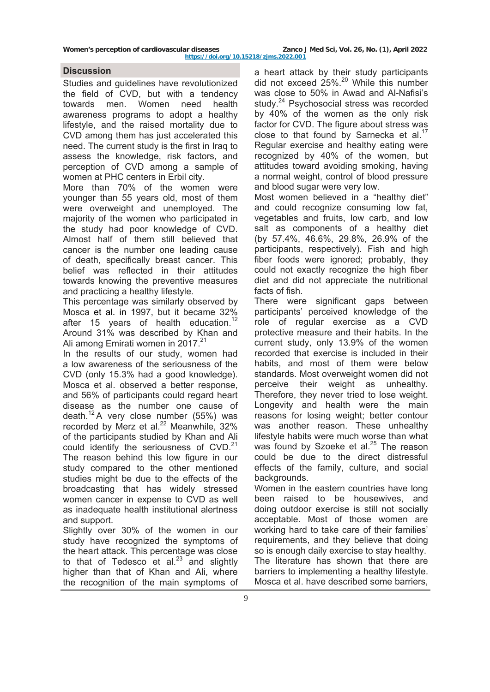Women's perception of cardiovascular diseases **Zanco J Med Sci, Vol. 26, No. (1), April 2022** 

### **Discussion**

Studies and guidelines have revolutionized the field of CVD, but with a tendency towards men. Women need health awareness programs to adopt a healthy lifestyle, and the raised mortality due to CVD among them has just accelerated this need. The current study is the first in Iraq to assess the knowledge, risk factors, and perception of CVD among a sample of women at PHC centers in Erbil city.

More than 70% of the women were younger than 55 years old, most of them were overweight and unemployed. The majority of the women who participated in the study had poor knowledge of CVD. Almost half of them still believed that cancer is the number one leading cause of death, specifically breast cancer. This belief was reflected in their attitudes towards knowing the preventive measures and practicing a healthy lifestyle.

This percentage was similarly observed by Mosca et al. in 1997, but it became 32% after 15 years of health education.<sup>12</sup> Around 31% was described by Khan and Ali among Emirati women in 2017.<sup>21</sup>

In the results of our study, women had a low awareness of the seriousness of the CVD (only 15.3% had a good knowledge). Mosca et al. observed a better response, and 56% of participants could regard heart disease as the number one cause of death.<sup>12</sup> A very close number (55%) was recorded by Merz et al. $^{22}$  Meanwhile, 32% of the participants studied by Khan and Ali could identify the seriousness of  $CVD$ .<sup>21</sup> The reason behind this low figure in our study compared to the other mentioned studies might be due to the effects of the broadcasting that has widely stressed women cancer in expense to CVD as well as inadequate health institutional alertness and support.

Slightly over 30% of the women in our study have recognized the symptoms of the heart attack. This percentage was close to that of Tedesco et al. $23$  and slightly higher than that of Khan and Ali, where the recognition of the main symptoms of

a heart attack by their study participants did not exceed 25%.20 While this number was close to 50% in Awad and Al-Nafisi's study.<sup>24</sup> Psychosocial stress was recorded by 40% of the women as the only risk factor for CVD. The figure about stress was close to that found by Sarnecka et al. $17$ Regular exercise and healthy eating were recognized by 40% of the women, but attitudes toward avoiding smoking, having a normal weight, control of blood pressure and blood sugar were very low.

Most women believed in a "healthy diet" and could recognize consuming low fat, vegetables and fruits, low carb, and low salt as components of a healthy diet (by 57.4%, 46.6%, 29.8%, 26.9% of the participants, respectively). Fish and high fiber foods were ignored; probably, they could not exactly recognize the high fiber diet and did not appreciate the nutritional facts of fish.

There were significant gaps between participants' perceived knowledge of the role of regular exercise as a CVD protective measure and their habits. In the current study, only 13.9% of the women recorded that exercise is included in their habits, and most of them were below standards. Most overweight women did not perceive their weight as unhealthy. Therefore, they never tried to lose weight. Longevity and health were the main reasons for losing weight; better contour was another reason. These unhealthy lifestyle habits were much worse than what was found by Szoeke et al. $25$  The reason could be due to the direct distressful effects of the family, culture, and social backgrounds.

Women in the eastern countries have long been raised to be housewives, and doing outdoor exercise is still not socially acceptable. Most of those women are working hard to take care of their families' requirements, and they believe that doing so is enough daily exercise to stay healthy. The literature has shown that there are barriers to implementing a healthy lifestyle. Mosca et al. have described some barriers,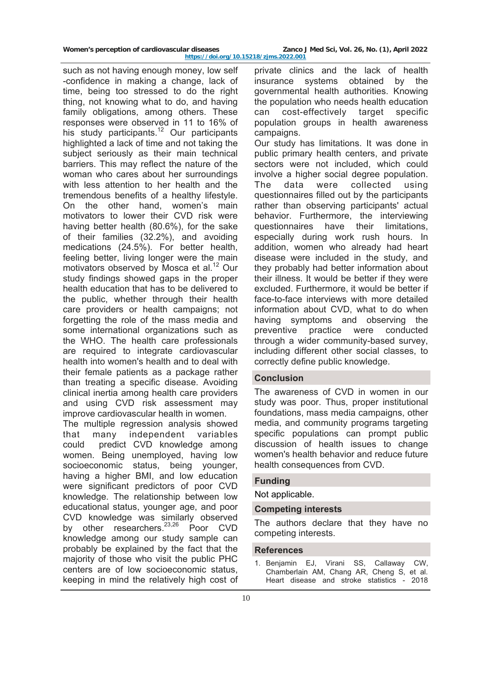| Women's perception of cardiovascular diseases | Zanco J Med Sci, Vol. 26, No. (1), April 2022 |  |  |  |
|-----------------------------------------------|-----------------------------------------------|--|--|--|
| https://doi.org/10.15218/zims.2022.001        |                                               |  |  |  |

such as not having enough money, low self -confidence in making a change, lack of time, being too stressed to do the right thing, not knowing what to do, and having family obligations, among others. These responses were observed in 11 to 16% of his study participants.<sup>12</sup> Our participants highlighted a lack of time and not taking the subject seriously as their main technical barriers. This may reflect the nature of the woman who cares about her surroundings with less attention to her health and the tremendous benefits of a healthy lifestyle. On the other hand, women's main motivators to lower their CVD risk were having better health (80.6%), for the sake of their families (32.2%), and avoiding medications (24.5%). For better health, feeling better, living longer were the main motivators observed by Mosca et al.<sup>12</sup> Our study findings showed gaps in the proper health education that has to be delivered to the public, whether through their health care providers or health campaigns; not forgetting the role of the mass media and some international organizations such as the WHO. The health care professionals are required to integrate cardiovascular health into women's health and to deal with their female patients as a package rather than treating a specific disease. Avoiding clinical inertia among health care providers and using CVD risk assessment may improve cardiovascular health in women. The multiple regression analysis showed that many independent variables

could predict CVD knowledge among women. Being unemployed, having low socioeconomic status, being younger, having a higher BMI, and low education were significant predictors of poor CVD knowledge. The relationship between low educational status, younger age, and poor CVD knowledge was similarly observed by other researchers.<sup>23,26</sup> Poor CVD knowledge among our study sample can probably be explained by the fact that the majority of those who visit the public PHC centers are of low socioeconomic status, keeping in mind the relatively high cost of

private clinics and the lack of health insurance systems obtained by the governmental health authorities. Knowing the population who needs health education can cost-effectively target specific population groups in health awareness campaigns.

Our study has limitations. It was done in public primary health centers, and private sectors were not included, which could involve a higher social degree population. The data were collected using questionnaires filled out by the participants rather than observing participants' actual behavior. Furthermore, the interviewing questionnaires have their limitations, especially during work rush hours. In addition, women who already had heart disease were included in the study, and they probably had better information about their illness. It would be better if they were excluded. Furthermore, it would be better if face-to-face interviews with more detailed information about CVD, what to do when having symptoms and observing the preventive practice were conducted through a wider community-based survey, including different other social classes, to correctly define public knowledge.

### **Conclusion**

The awareness of CVD in women in our study was poor. Thus, proper institutional foundations, mass media campaigns, other media, and community programs targeting specific populations can prompt public discussion of health issues to change women's health behavior and reduce future health consequences from CVD.

### **Funding**

Not applicable.

### **Competing interests**

The authors declare that they have no competing interests.

### **References**

1. Benjamin EJ, Virani SS, Callaway CW, Chamberlain AM, Chang AR, Cheng S, et al. Heart disease and stroke statistics - 2018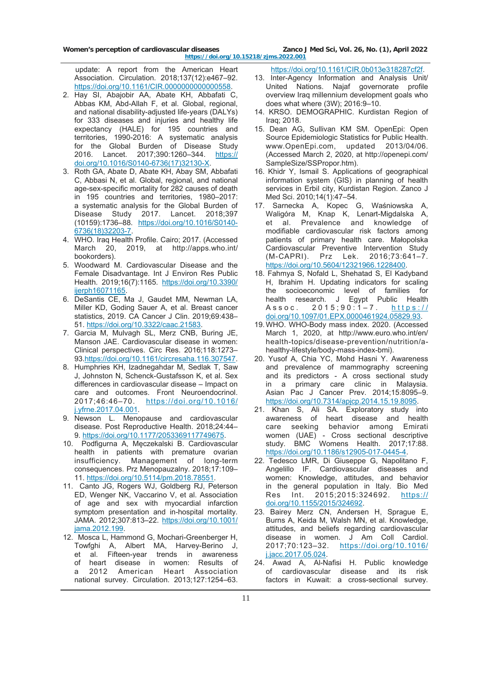Women's perception of cardiovascular diseases **Zanco J Med Sci, Vol. 26, No. (1), April 2022 <https://doi.org/10.15218/zjms.2022.001>**

 update: A report from the American Heart Association. Circulation. 2018;137(12):e467–92. [https://doi.org/10.1161/CIR.0000000000000558.](https://doi.org/10.1161/CIR.0000000000000558)

- 2. Hay SI, Abajobir AA, Abate KH, Abbafati C, Abbas KM, Abd-Allah F, et al. Global, regional, and national disability-adjusted life-years (DALYs) for 333 diseases and injuries and healthy life expectancy (HALE) for 195 countries and territories, 1990-2016: A systematic analysis for the Global Burden of Disease Study 2016. Lancet. 2017;390:1260–344. [https://](https://doi.org/10.1016/S0140-6736(17)32130-X) [doi.org/10.1016/S0140-6736\(17\)32130-X.](https://doi.org/10.1016/S0140-6736(17)32130-X)
- 3. Roth GA, Abate D, Abate KH, Abay SM, Abbafati C, Abbasi N, et al. Global, regional, and national age-sex-specific mortality for 282 causes of death in 195 countries and territories, 1980–2017: a systematic analysis for the Global Burden of Disease Study 2017. Lancet. 2018;397 (10159):1736–88. [https://doi.org/10.1016/S0140-](https://doi.org/10.1016/S0140-6736(18)32203-7) [6736\(18\)32203-7.](https://doi.org/10.1016/S0140-6736(18)32203-7)
- 4. WHO. Iraq Health Profile. Cairo; 2017. (Accessed March 20, 2019, at http://apps.who.int/ bookorders).
- 5. Woodward M. Cardiovascular Disease and the Female Disadvantage. Int J Environ Res Public Health. 2019;16(7):1165. [https://doi.org/10.3390/](https://doi.org/10.3390/ijerph16071165) [ijerph16071165.](https://doi.org/10.3390/ijerph16071165)
- 6. DeSantis CE, Ma J, Gaudet MM, Newman LA, Miller KD, Goding Sauer A, et al. Breast cancer statistics, 2019. CA Cancer J Clin. 2019;69:438– 51. h[ttps://doi.org/10.3322/caac.21583.](https://doi.org/10.3322/caac.21583)
- 7. Garcia M, Mulvagh SL, Merz CNB, Buring JE, Manson JAE. Cardiovascular disease in women: Clinical perspectives. Circ Res. 2016;118:1273– 93.h[ttps://doi.org/10.1161/circresaha.116.307547](https://doi.org/10.1161/circresaha.116.307547).
- 8. Humphries KH, Izadnegahdar M, Sedlak T, Saw J, Johnston N, Schenck-Gustafsson K, et al. Sex differences in cardiovascular disease – Impact on care and outcomes. Front Neuroendocrinol. 2017;46:46–70. [https://doi.org/10.1016/](https://doi.org/10.1016/j.yfrne.2017.04.001) [j.yfrne.2017.04.001.](https://doi.org/10.1016/j.yfrne.2017.04.001)
- 9. Newson L. Menopause and cardiovascular disease. Post Reproductive Health. 2018;24:44– 9. [https://doi.org/10.1177/2053369117749675.](https://doi.org/10.1177/2053369117749675)
- 10. Podfigurna A, Męczekalski B. Cardiovascular health in patients with premature ovarian insufficiency. Management of long-term consequences. Prz Menopauzalny. 2018;17:109– 11. https://doi.org/10.5114/pm.2018.78551.
- 11. Canto JG, Rogers WJ, Goldberg RJ, Peterson ED, Wenger NK, Vaccarino V, et al. Association of age and sex with myocardial infarction symptom presentation and in-hospital mortality. JAMA. 2012;307:813–22. [https://doi.org/10.1001/](https://doi.org/10.1001/jama.2012.199) [jama.2012.199.](https://doi.org/10.1001/jama.2012.199)
- 12. Mosca L, Hammond G, Mochari-Greenberger H, Towfghi A, Albert MA, Harvey-Berino J, et al. Fifteen-year trends in awareness of heart disease in women: Results of of heart disease in women: Results of<br>a 2012 American Heart Association national survey. Circulation. 2013;127:1254–63.

#### <https://doi.org/10.1161/CIR.0b013e318287cf2f>.

- 13. Inter-Agency Information and Analysis Unit/ United Nations. Najaf governorate profile overview Iraq millennium development goals who does what where (3W); 2016:9–10.
- 14. KRSO. DEMOGRAPHIC. Kurdistan Region of Iraq; 2018.
- 15. Dean AG, Sullivan KM SM. OpenEpi: Open Source Epidemiologic Statistics for Public Health. www.OpenEpi.com, updated 2013/04/06. (Accessed March 2, 2020, at http://openepi.com/ SampleSize/SSPropor.htm).
- 16. Khidr Y, Ismail S. Applications of geographical information system (GIS) in planning of health services in Erbil city, Kurdistan Region. Zanco J Med Sci. 2010;14(1):47–54.
- 17. Sarnecka A, Kopec G, Waśniowska A, Waligóra M, Knap K, Lenart-Migdalska A,<br>et al. Prevalence and knowledge of et al. Prevalence and knowledge modifiable cardiovascular risk factors among patients of primary health care. Małopolska Cardiovascular Preventive Intervention Study (M-CAPRI). Prz Lek. 2016;73:641–7. <https://doi.org/10.5604/12321966.1228400>.
- 18. Fahmya S, Nofald L, Shehatad S, El Kadyband H, Ibrahim H. Updating indicators for scaling the socioeconomic level of families for health research. J Egypt Public Health Assoc. 2015;90:1–7. [https:/](https://doi.org/10.1097/01.EPX.0000461924.05829.93)/ [doi.org/10.1097/01.EPX.0000461924.05829.93.](https://doi.org/10.1097/01.EPX.0000461924.05829.93)
- 19. WHO. WHO-Body mass index. 2020. (Accessed March 1, 2020, at http://www.euro.who.int/en/ health-topics/disease-prevention/nutrition/ahealthy-lifestyle/body-mass-index-bmi).
- 20. Yusof A, Chia YC, Mohd Hasni Y. Awareness and prevalence of mammography screening and its predictors - A cross sectional study in a primary care clinic in Malaysia. Asian Pac J Cancer Prev. 2014;15:8095–9. [https://doi.org/10.7314/apjcp.2014.15.19.8095.](https://doi.org/10.7314/apjcp.2014.15.19.8095)
- 21. Khan S, Ali SA. Exploratory study into awareness of heart disease and health care seeking behavior among Emirati women (UAE) - Cross sectional descriptive study. BMC Womens Health. 2017;17:88. <https://doi.org/10.1186/s12905-017-0445-4>.
- 22. Tedesco LMR, Di Giuseppe G, Napolitano F, Angelillo IF. Cardiovascular diseases and women: Knowledge, attitudes, and behavior in the general population in Italy. Bio Med Res Int. 2015;2015:324692. [https:/](https://doi.org/10.1155/2015/324692)/ [doi.org/10.1155/2015/324692](https://doi.org/10.1155/2015/324692).
- 23. Bairey Merz CN, Andersen H, Sprague E, Burns A, Keida M, Walsh MN, et al. Knowledge, attitudes, and beliefs regarding cardiovascular disease in women. J Am Coll Cardiol. 2017;70:123–32. [https://doi.org/10.1016](https://doi.org/10.1016/j.jacc.2017.05.024)/ [j.jacc.2017.05.024](https://doi.org/10.1016/j.jacc.2017.05.024).
- 24. Awad A, Al-Nafisi H. Public knowledge of cardiovascular disease and its risk factors in Kuwait: a cross-sectional survey.